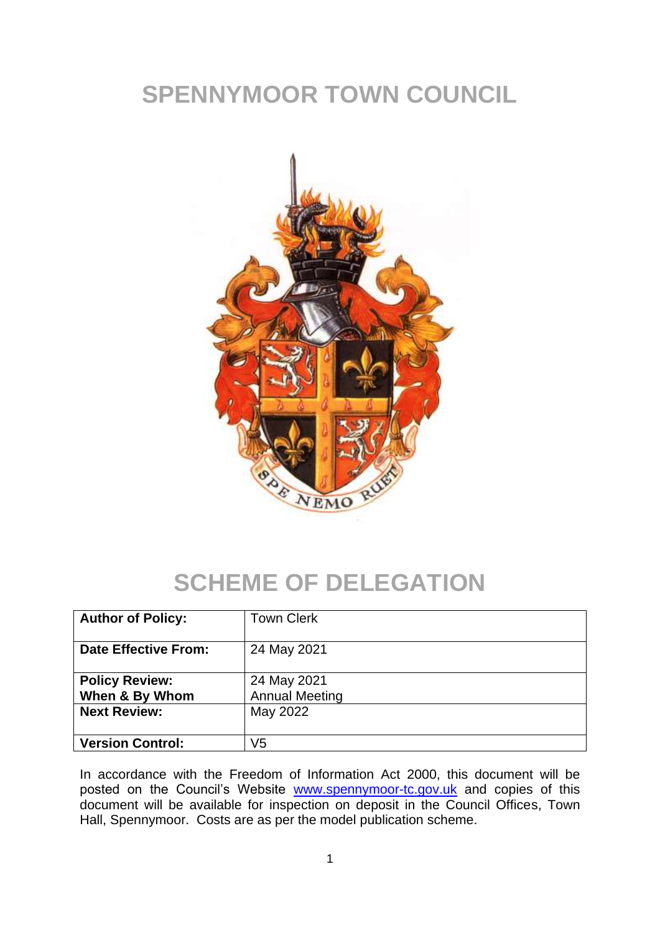# **SPENNYMOOR TOWN COUNCIL**



# **SCHEME OF DELEGATION**

| <b>Author of Policy:</b>                | <b>Town Clerk</b>                    |
|-----------------------------------------|--------------------------------------|
| <b>Date Effective From:</b>             | 24 May 2021                          |
| <b>Policy Review:</b><br>When & By Whom | 24 May 2021<br><b>Annual Meeting</b> |
| <b>Next Review:</b>                     | May 2022                             |
| <b>Version Control:</b>                 | V5                                   |

In accordance with the Freedom of Information Act 2000, this document will be posted on the Council's Website [www.spennymoor-tc.gov.uk](http://www.spennymoor-tc.gov.uk/) and copies of this document will be available for inspection on deposit in the Council Offices, Town Hall, Spennymoor. Costs are as per the model publication scheme.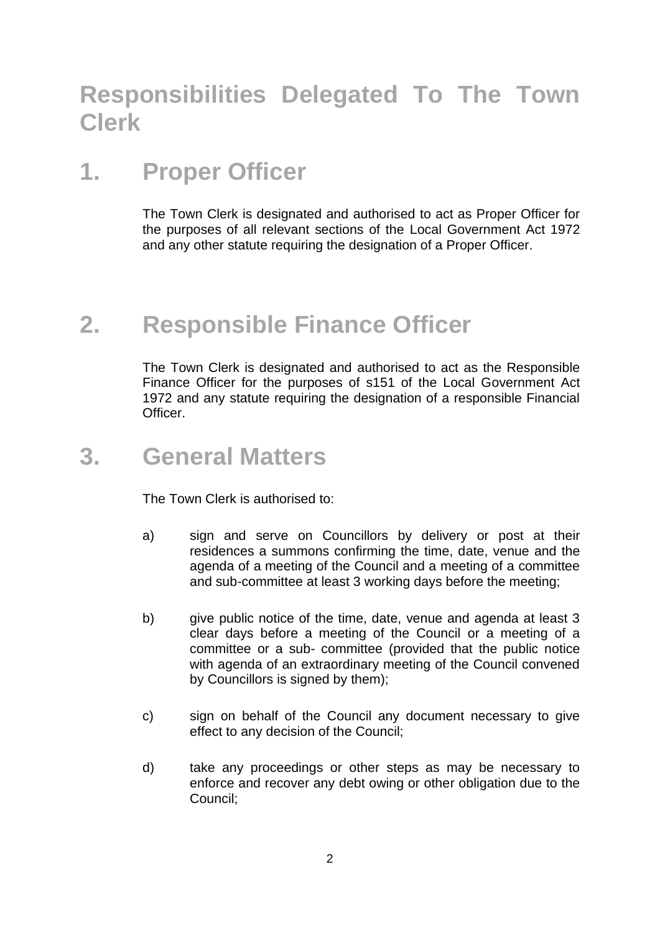## **Responsibilities Delegated To The Town Clerk**

## **1. Proper Officer**

The Town Clerk is designated and authorised to act as Proper Officer for the purposes of all relevant sections of the Local Government Act 1972 and any other statute requiring the designation of a Proper Officer.

## **2. Responsible Finance Officer**

The Town Clerk is designated and authorised to act as the Responsible Finance Officer for the purposes of s151 of the Local Government Act 1972 and any statute requiring the designation of a responsible Financial Officer.

#### **3. General Matters**

The Town Clerk is authorised to:

- a) sign and serve on Councillors by delivery or post at their residences a summons confirming the time, date, venue and the agenda of a meeting of the Council and a meeting of a committee and sub-committee at least 3 working days before the meeting;
- b) give public notice of the time, date, venue and agenda at least 3 clear days before a meeting of the Council or a meeting of a committee or a sub- committee (provided that the public notice with agenda of an extraordinary meeting of the Council convened by Councillors is signed by them);
- c) sign on behalf of the Council any document necessary to give effect to any decision of the Council;
- d) take any proceedings or other steps as may be necessary to enforce and recover any debt owing or other obligation due to the Council;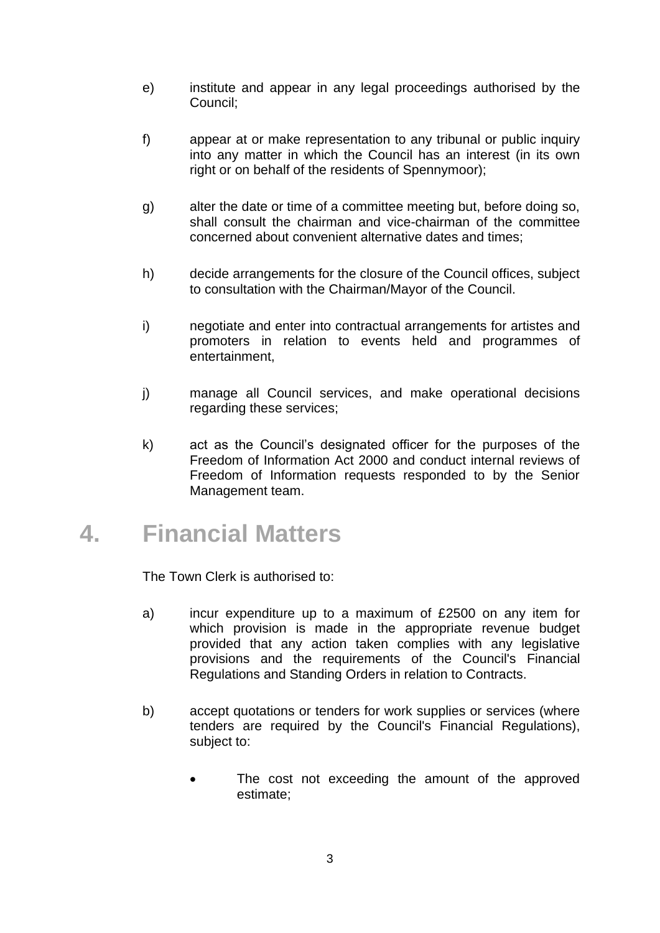- e) institute and appear in any legal proceedings authorised by the Council;
- f) appear at or make representation to any tribunal or public inquiry into any matter in which the Council has an interest (in its own right or on behalf of the residents of Spennymoor);
- g) alter the date or time of a committee meeting but, before doing so, shall consult the chairman and vice-chairman of the committee concerned about convenient alternative dates and times;
- h) decide arrangements for the closure of the Council offices, subject to consultation with the Chairman/Mayor of the Council.
- i) negotiate and enter into contractual arrangements for artistes and promoters in relation to events held and programmes of entertainment,
- j) manage all Council services, and make operational decisions regarding these services;
- k) act as the Council's designated officer for the purposes of the Freedom of Information Act 2000 and conduct internal reviews of Freedom of Information requests responded to by the Senior Management team.

## **4. Financial Matters**

The Town Clerk is authorised to:

- a) incur expenditure up to a maximum of £2500 on any item for which provision is made in the appropriate revenue budget provided that any action taken complies with any legislative provisions and the requirements of the Council's Financial Regulations and Standing Orders in relation to Contracts.
- b) accept quotations or tenders for work supplies or services (where tenders are required by the Council's Financial Regulations), subject to:
	- The cost not exceeding the amount of the approved estimate;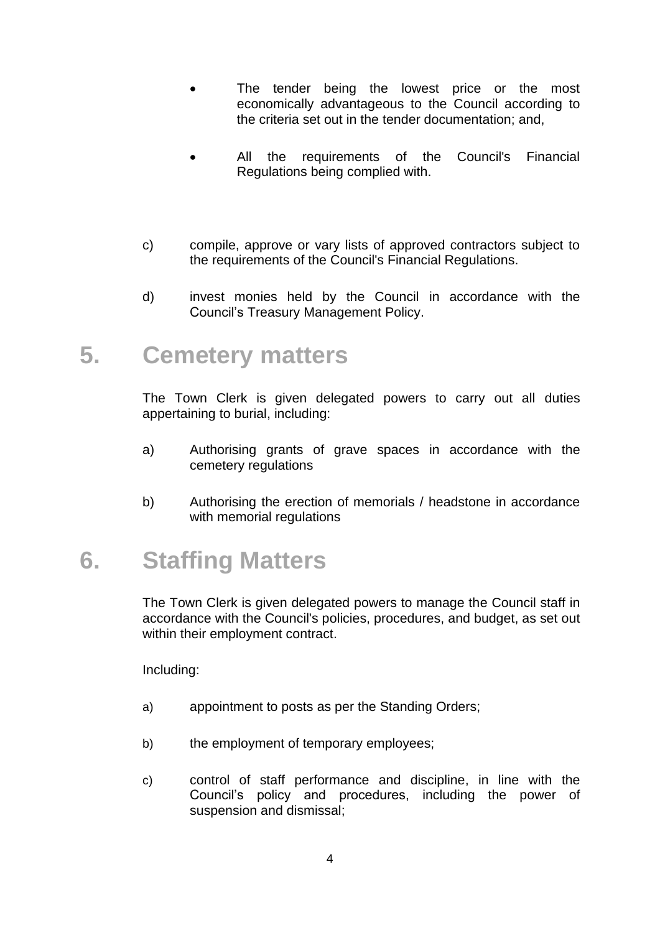- The tender being the lowest price or the most economically advantageous to the Council according to the criteria set out in the tender documentation; and,
- All the requirements of the Council's Financial Regulations being complied with.
- c) compile, approve or vary lists of approved contractors subject to the requirements of the Council's Financial Regulations.
- d) invest monies held by the Council in accordance with the Council's Treasury Management Policy.

#### **5. Cemetery matters**

The Town Clerk is given delegated powers to carry out all duties appertaining to burial, including:

- a) Authorising grants of grave spaces in accordance with the cemetery regulations
- b) Authorising the erection of memorials / headstone in accordance with memorial regulations

## **6. Staffing Matters**

The Town Clerk is given delegated powers to manage the Council staff in accordance with the Council's policies, procedures, and budget, as set out within their employment contract.

Including:

- a) appointment to posts as per the Standing Orders;
- b) the employment of temporary employees;
- c) control of staff performance and discipline, in line with the Council's policy and procedures, including the power of suspension and dismissal;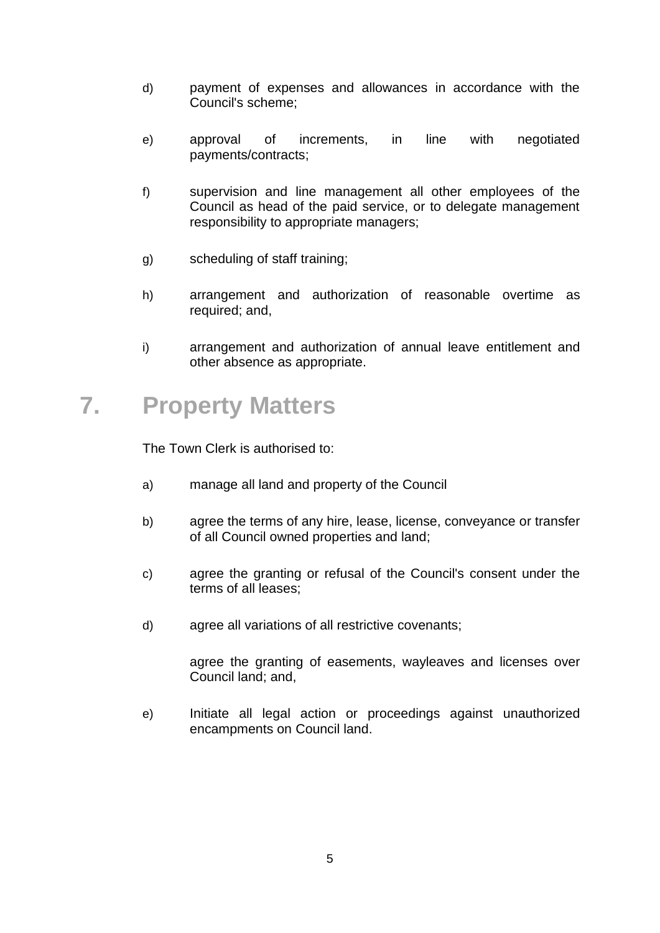- d) payment of expenses and allowances in accordance with the Council's scheme;
- e) approval of increments, in line with negotiated payments/contracts;
- f) supervision and line management all other employees of the Council as head of the paid service, or to delegate management responsibility to appropriate managers;
- g) scheduling of staff training;
- h) arrangement and authorization of reasonable overtime as required; and,
- i) arrangement and authorization of annual leave entitlement and other absence as appropriate.

#### **7. Property Matters**

The Town Clerk is authorised to:

- a) manage all land and property of the Council
- b) agree the terms of any hire, lease, license, conveyance or transfer of all Council owned properties and land;
- c) agree the granting or refusal of the Council's consent under the terms of all leases;
- d) agree all variations of all restrictive covenants;

agree the granting of easements, wayleaves and licenses over Council land; and,

e) Initiate all legal action or proceedings against unauthorized encampments on Council land.